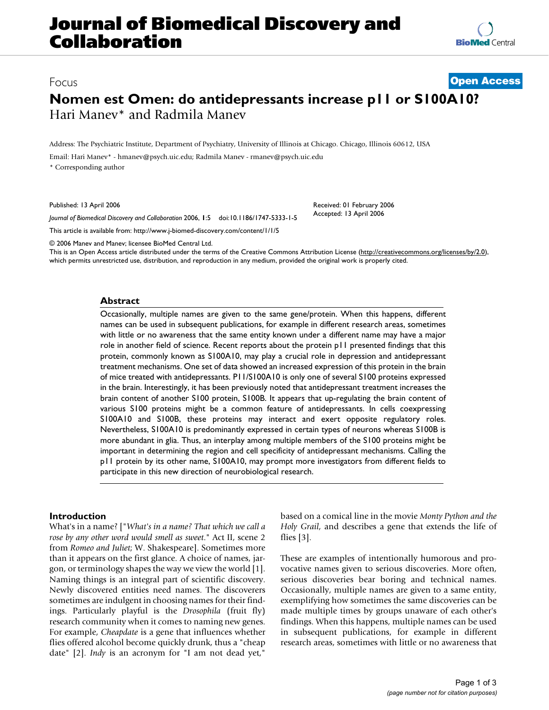# **Journal of Biomedical Discovery and Collaboration**

**[BioMed](http://www.biomedcentral.com/)** Central

## Focus **[Open Access](http://www.biomedcentral.com/info/about/charter/)**

## **Nomen est Omen: do antidepressants increase p11 or S100A10?** Hari Manev\* and Radmila Manev

Address: The Psychiatric Institute, Department of Psychiatry, University of Illinois at Chicago. Chicago, Illinois 60612, USA

Email: Hari Manev\* - hmanev@psych.uic.edu; Radmila Manev - rmanev@psych.uic.edu

\* Corresponding author

Published: 13 April 2006

*Journal of Biomedical Discovery and Collaboration* 2006, **1**:5 doi:10.1186/1747-5333-1-5

[This article is available from: http://www.j-biomed-discovery.com/content/1/1/5](http://www.j-biomed-discovery.com/content/1/1/5)

© 2006 Manev and Manev; licensee BioMed Central Ltd.

This is an Open Access article distributed under the terms of the Creative Commons Attribution License [\(http://creativecommons.org/licenses/by/2.0\)](http://creativecommons.org/licenses/by/2.0), which permits unrestricted use, distribution, and reproduction in any medium, provided the original work is properly cited.

Received: 01 February 2006 Accepted: 13 April 2006

### **Abstract**

Occasionally, multiple names are given to the same gene/protein. When this happens, different names can be used in subsequent publications, for example in different research areas, sometimes with little or no awareness that the same entity known under a different name may have a major role in another field of science. Recent reports about the protein p11 presented findings that this protein, commonly known as S100A10, may play a crucial role in depression and antidepressant treatment mechanisms. One set of data showed an increased expression of this protein in the brain of mice treated with antidepressants. P11/S100A10 is only one of several S100 proteins expressed in the brain. Interestingly, it has been previously noted that antidepressant treatment increases the brain content of another S100 protein, S100B. It appears that up-regulating the brain content of various S100 proteins might be a common feature of antidepressants. In cells coexpressing S100A10 and S100B, these proteins may interact and exert opposite regulatory roles. Nevertheless, S100A10 is predominantly expressed in certain types of neurons whereas S100B is more abundant in glia. Thus, an interplay among multiple members of the S100 proteins might be important in determining the region and cell specificity of antidepressant mechanisms. Calling the p11 protein by its other name, S100A10, may prompt more investigators from different fields to participate in this new direction of neurobiological research.

## **Introduction**

What's in a name? ["*What's in a name? That which we call a rose by any other word would smell as sweet*." Act II, scene 2 from *Romeo and Juliet*; W. Shakespeare]. Sometimes more than it appears on the first glance. A choice of names, jargon, or terminology shapes the way we view the world [1]. Naming things is an integral part of scientific discovery. Newly discovered entities need names. The discoverers sometimes are indulgent in choosing names for their findings. Particularly playful is the *Drosophila* (fruit fly) research community when it comes to naming new genes. For example, *Cheapdate* is a gene that influences whether flies offered alcohol become quickly drunk, thus a "cheap date" [2]. *Indy* is an acronym for "I am not dead yet,"

based on a comical line in the movie *Monty Python and the Holy Grail*, and describes a gene that extends the life of flies [3].

These are examples of intentionally humorous and provocative names given to serious discoveries. More often, serious discoveries bear boring and technical names. Occasionally, multiple names are given to a same entity, exemplifying how sometimes the same discoveries can be made multiple times by groups unaware of each other's findings. When this happens, multiple names can be used in subsequent publications, for example in different research areas, sometimes with little or no awareness that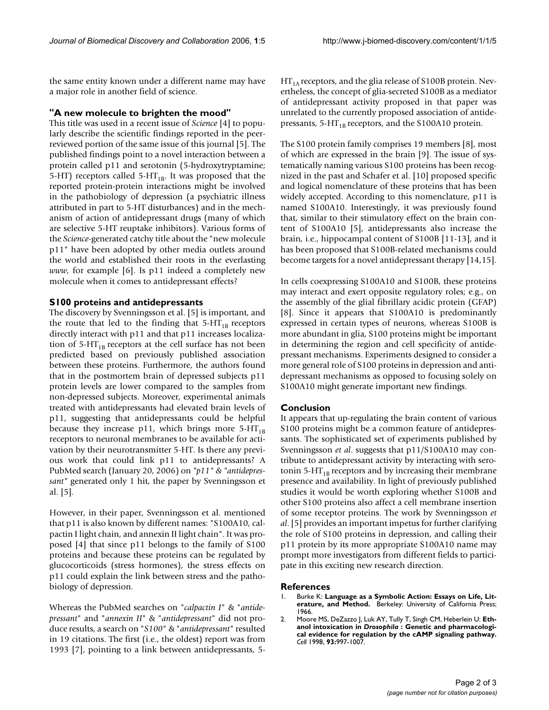the same entity known under a different name may have a major role in another field of science.

## **"A new molecule to brighten the mood"**

This title was used in a recent issue of *Science* [4] to popularly describe the scientific findings reported in the peerreviewed portion of the same issue of this journal [5]. The published findings point to a novel interaction between a protein called p11 and serotonin (5-hydroxytryptamine; 5-HT) receptors called 5-HT<sub>1B</sub>. It was proposed that the reported protein-protein interactions might be involved in the pathobiology of depression (a psychiatric illness attributed in part to 5-HT disturbances) and in the mechanism of action of antidepressant drugs (many of which are selective 5-HT reuptake inhibitors). Various forms of the *Science*-generated catchy title about the "new molecule p11" have been adopted by other media outlets around the world and established their roots in the everlasting *www*, for example [6]. Is p11 indeed a completely new molecule when it comes to antidepressant effects?

## **S100 proteins and antidepressants**

The discovery by Svenningsson et al. [5] is important, and the route that led to the finding that  $5-HT_{1B}$  receptors directly interact with p11 and that p11 increases localization of  $5-HT_{1B}$  receptors at the cell surface has not been predicted based on previously published association between these proteins. Furthermore, the authors found that in the postmortem brain of depressed subjects p11 protein levels are lower compared to the samples from non-depressed subjects. Moreover, experimental animals treated with antidepressants had elevated brain levels of p11, suggesting that antidepressants could be helpful because they increase p11, which brings more  $5-HT_{1B}$ receptors to neuronal membranes to be available for activation by their neurotransmitter 5-HT. Is there any previous work that could link p11 to antidepressants? A PubMed search (January 20, 2006) on *"p11" & "antidepressant"* generated only 1 hit, the paper by Svenningsson et al. [5].

However, in their paper, Svenningsson et al. mentioned that p11 is also known by different names: "S100A10, calpactin I light chain, and annexin II light chain". It was proposed [4] that since p11 belongs to the family of S100 proteins and because these proteins can be regulated by glucocorticoids (stress hormones), the stress effects on p11 could explain the link between stress and the pathobiology of depression.

Whereas the PubMed searches on "*calpactin I*" & "*antidepressant*" and "*annexin II*" & "*antidepressant*" did not produce results, a search on "*S100*" & "*antidepressant*" resulted in 19 citations. The first (i.e., the oldest) report was from 1993 [7], pointing to a link between antidepressants, 5 $HT<sub>1A</sub>$  receptors, and the glia release of S100B protein. Nevertheless, the concept of glia-secreted S100B as a mediator of antidepressant activity proposed in that paper was unrelated to the currently proposed association of antidepressants,  $5-HT_{1B}$  receptors, and the S100A10 protein.

The S100 protein family comprises 19 members [8], most of which are expressed in the brain [9]. The issue of systematically naming various S100 proteins has been recognized in the past and Schafer et al. [10] proposed specific and logical nomenclature of these proteins that has been widely accepted. According to this nomenclature, p11 is named S100A10. Interestingly, it was previously found that, similar to their stimulatory effect on the brain content of S100A10 [5], antidepressants also increase the brain, i.e., hippocampal content of S100B [11-13], and it has been proposed that S100B-related mechanisms could become targets for a novel antidepressant therapy [14,15].

In cells coexpressing S100A10 and S100B, these proteins may interact and exert opposite regulatory roles; e.g., on the assembly of the glial fibrillary acidic protein (GFAP) [8]. Since it appears that S100A10 is predominantly expressed in certain types of neurons, whereas S100B is more abundant in glia, S100 proteins might be important in determining the region and cell specificity of antidepressant mechanisms. Experiments designed to consider a more general role of S100 proteins in depression and antidepressant mechanisms as opposed to focusing solely on S100A10 might generate important new findings.

### **Conclusion**

It appears that up-regulating the brain content of various S100 proteins might be a common feature of antidepressants. The sophisticated set of experiments published by Svenningsson *et al*. suggests that p11/S100A10 may contribute to antidepressant activity by interacting with serotonin 5-HT<sub>1B</sub> receptors and by increasing their membrane presence and availability. In light of previously published studies it would be worth exploring whether S100B and other S100 proteins also affect a cell membrane insertion of some receptor proteins. The work by Svenningsson *et al*. [5] provides an important impetus for further clarifying the role of S100 proteins in depression, and calling their p11 protein by its more appropriate S100A10 name may prompt more investigators from different fields to participate in this exciting new research direction.

#### **References**

- 1. Burke K: **Language as a Symbolic Action: Essays on Life, Literature, and Method.** Berkeley: University of California Press; 1966.
- 2. Moore MS, DeZazzo J, Luk AY, Tully T, Singh CM, Heberlein U: **Ethanol intoxication in** *Drosophila* **[: Genetic and pharmacologi](http://www.ncbi.nlm.nih.gov/entrez/query.fcgi?cmd=Retrieve&db=PubMed&dopt=Abstract&list_uids=9635429)[cal evidence for regulation by the cAMP signaling pathway.](http://www.ncbi.nlm.nih.gov/entrez/query.fcgi?cmd=Retrieve&db=PubMed&dopt=Abstract&list_uids=9635429)** *Cell* 1998, **93:**997-1007.